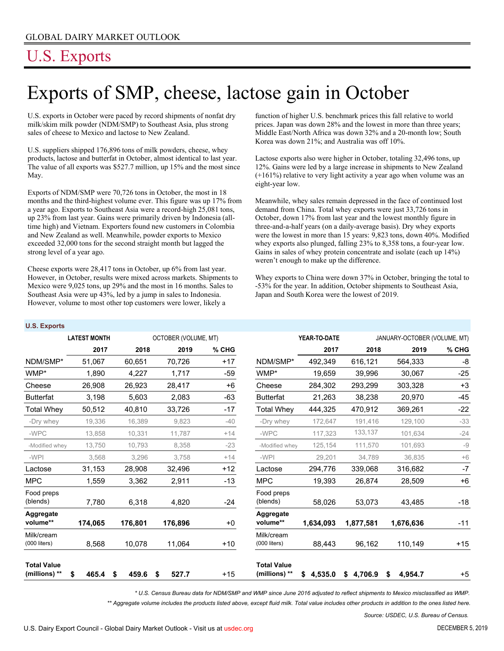# U.S. Exports

**U.S. Exports**

# Exports of SMP, cheese, lactose gain in October

U.S. exports in October were paced by record shipments of nonfat dry milk/skim milk powder (NDM/SMP) to Southeast Asia, plus strong sales of cheese to Mexico and lactose to New Zealand.

U.S. suppliers shipped 176,896 tons of milk powders, cheese, whey products, lactose and butterfat in October, almost identical to last year. The value of all exports was \$527.7 million, up 15% and the most since May.

Exports of NDM/SMP were 70,726 tons in October, the most in 18 months and the third-highest volume ever. This figure was up 17% from a year ago. Exports to Southeast Asia were a record-high 25,081 tons, up 23% from last year. Gains were primarily driven by Indonesia (alltime high) and Vietnam. Exporters found new customers in Colombia and New Zealand as well. Meanwhile, powder exports to Mexico exceeded 32,000 tons for the second straight month but lagged the strong level of a year ago.

Cheese exports were 28,417 tons in October, up 6% from last year. However, in October, results were mixed across markets. Shipments to Mexico were 9,025 tons, up 29% and the most in 16 months. Sales to Southeast Asia were up 43%, led by a jump in sales to Indonesia. However, volume to most other top customers were lower, likely a

function of higher U.S. benchmark prices this fall relative to world prices. Japan was down 28% and the lowest in more than three years; Middle East/North Africa was down 32% and a 20-month low; South Korea was down 21%; and Australia was off 10%.

Lactose exports also were higher in October, totaling 32,496 tons, up 12%. Gains were led by a large increase in shipments to New Zealand (+161%) relative to very light activity a year ago when volume was an eight-year low.

Meanwhile, whey sales remain depressed in the face of continued lost demand from China. Total whey exports were just 33,726 tons in October, down 17% from last year and the lowest monthly figure in three-and-a-half years (on a daily-average basis). Dry whey exports were the lowest in more than 15 years: 9,823 tons, down 40%. Modified whey exports also plunged, falling 23% to 8,358 tons, a four-year low. Gains in sales of whey protein concentrate and isolate (each up 14%) weren't enough to make up the difference.

Whey exports to China were down 37% in October, bringing the total to -53% for the year. In addition, October shipments to Southeast Asia, Japan and South Korea were the lowest of 2019.

| υ.σ. Ελρυπο                         |                     |             |                      |         |                                     |               |               |                              |       |  |
|-------------------------------------|---------------------|-------------|----------------------|---------|-------------------------------------|---------------|---------------|------------------------------|-------|--|
|                                     | <b>LATEST MONTH</b> |             | OCTOBER (VOLUME, MT) |         |                                     | YEAR-TO-DATE  |               | JANUARY-OCTOBER (VOLUME, MT) |       |  |
|                                     | 2017                | 2018        | 2019                 | $%$ CHG |                                     | 2017          | 2018          | 2019                         | % CHG |  |
| NDM/SMP*                            | 51,067              | 60.651      | 70,726               | $+17$   | NDM/SMP*                            | 492,349       | 616,121       | 564,333                      | -8    |  |
| WMP*                                | 1,890               | 4,227       | 1,717                | $-59$   | WMP*                                | 19,659        | 39,996        | 30,067                       | $-25$ |  |
| Cheese                              | 26,908              | 26,923      | 28,417               | $+6$    | Cheese                              | 284,302       | 293,299       | 303,328                      | $+3$  |  |
| <b>Butterfat</b>                    | 3,198               | 5,603       | 2,083                | $-63$   | <b>Butterfat</b>                    | 21,263        | 38,238        | 20,970                       | $-45$ |  |
| Total Whev                          | 50,512              | 40,810      | 33,726               | $-17$   | <b>Total Whey</b>                   | 444,325       | 470,912       | 369,261                      | $-22$ |  |
| -Dry whey                           | 19,336              | 16,389      | 9,823                | $-40$   | -Dry whey                           | 172,647       | 191,416       | 129,100                      | $-33$ |  |
| -WPC                                | 13,858              | 10,331      | 11,787               | $+14$   | -WPC                                | 117,323       | 133,137       | 101,634                      | $-24$ |  |
| -Modified whey                      | 13,750              | 10,793      | 8,358                | $-23$   | -Modified whey                      | 125,154       | 111,570       | 101,693                      | $-9$  |  |
| -WPI                                | 3,568               | 3,296       | 3,758                | $+14$   | -WPI                                | 29,201        | 34,789        | 36,835                       | $+6$  |  |
| Lactose                             | 31,153              | 28,908      | 32,496               | $+12$   | Lactose                             | 294,776       | 339,068       | 316,682                      | $-7$  |  |
| <b>MPC</b>                          | 1,559               | 3,362       | 2,911                | $-13$   | <b>MPC</b>                          | 19,393        | 26,874        | 28,509                       | $+6$  |  |
| Food preps<br>(blends)              | 7,780               | 6,318       | 4,820                | $-24$   | Food preps<br>(blends)              | 58,026        | 53,073        | 43,485                       | $-18$ |  |
| Aggregate<br>volume**               | 174,065             | 176,801     | 176,896              | $+0$    | Aggregate<br>volume**               | 1,634,093     | 1,877,581     | 1,676,636                    | $-11$ |  |
| Milk/cream<br>$(000$ liters)        | 8,568               | 10,078      | 11,064               | $+10$   | Milk/cream<br>$(000$ liters)        | 88,443        | 96,162        | 110,149                      | $+15$ |  |
| <b>Total Value</b><br>(millions) ** | \$<br>465.4         | 459.6<br>\$ | 527.7<br>\$          | $+15$   | <b>Total Value</b><br>(millions) ** | 4,535.0<br>\$ | 4,706.9<br>\$ | 4,954.7<br>\$                | $+5$  |  |

*\* U.S. Census Bureau data for NDM/SMP and WMP since June 2016 adjusted to reflect shipments to Mexico misclassified as WMP.*

*\*\* Aggregate volume includes the products listed above, except fluid milk. Total value includes other products in addition to the ones listed here.*

*Source: USDEC, U.S. Bureau of Census.*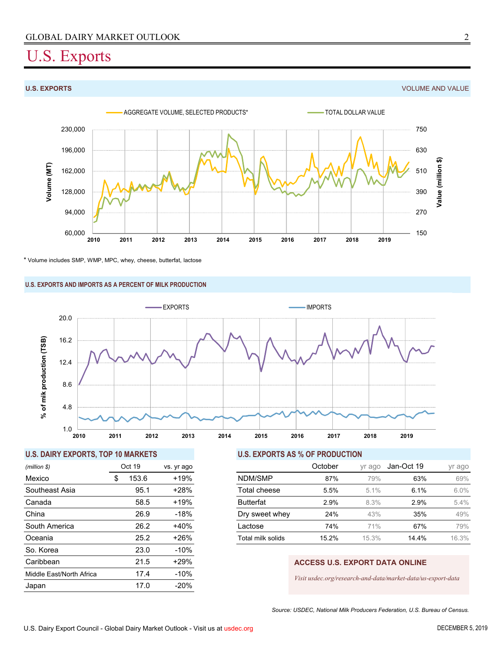## U.S. Exports

**U.S. EXPORTS** VOLUME AND VALUE



\* Volume includes SMP, WMP, MPC, whey, cheese, butterfat, lactose

### **U.S. EXPORTS AND IMPORTS AS A PERCENT OF MILK PRODUCTION**



### **U.S. DAIRY EXPORTS, TOP 10 MARKETS U.S. EXPORTS AS % OF PRODUCTION**

| (million \$)             |    | Oct 19 | vs. yr ago |  |  |
|--------------------------|----|--------|------------|--|--|
| Mexico                   | \$ | 153.6  | $+19%$     |  |  |
| Southeast Asia           |    | 95.1   | $+28%$     |  |  |
| Canada                   |    | 58.5   | $+19%$     |  |  |
| China                    |    | 26.9   | -18%       |  |  |
| South America            |    | 26.2   | $+40%$     |  |  |
| Oceania                  |    | 25.2   | $+26%$     |  |  |
| So. Korea                |    | 23.0   | $-10%$     |  |  |
| Caribbean                |    | 21.5   | $+29%$     |  |  |
| Middle East/North Africa |    | 17.4   | $-10%$     |  |  |
| Japan                    |    | 17.0   | $-20%$     |  |  |

| (million \$)   | Oct 19 |       | vs. yr ago |                   | October | yr ago  | Jan-Oct 19 | yr ago |
|----------------|--------|-------|------------|-------------------|---------|---------|------------|--------|
| Mexico         |        | 153.6 | $+19%$     | NDM/SMP           | 87%     | 79%     | 63%        | 69%    |
| Southeast Asia |        | 95.1  | $+28%$     | Total cheese      | 5.5%    | $5.1\%$ | 6.1%       | 6.0%   |
| Canada         |        | 58.5  | $+19%$     | <b>Butterfat</b>  | 2.9%    | 8.3%    | 2.9%       | 5.4%   |
| China          |        | 26.9  | $-18%$     | Dry sweet whey    | 24%     | 43%     | 35%        | 49%    |
| South America  |        | 26.2  | $+40%$     | Lactose           | 74%     | 71%     | 67%        | 79%    |
| Oceania        |        | 25.2  | +26%       | Total milk solids | 15.2%   | 15.3%   | 14.4%      | 16.3%  |

### **ACCESS U.S. EXPORT DATA ONLINE**

*Visit usdec.org/research-and-data/market-data/us-export-data*

*Source: USDEC, National Milk Producers Federation, U.S. Bureau of Census.*